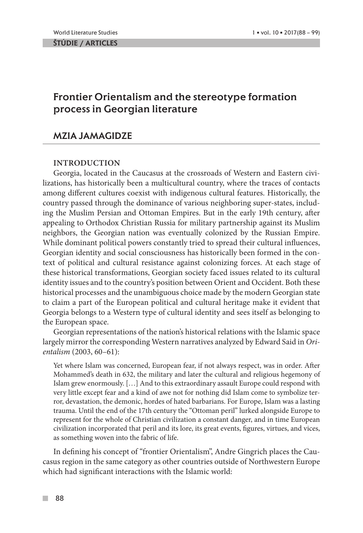# Frontier Orientalism and the stereotype formation process in Georgian literature

## MZIA JAMAGIDZE

## **INTRODUCTION**

Georgia, located in the Caucasus at the crossroads of Western and Eastern civilizations, has historically been a multicultural country, where the traces of contacts among different cultures coexist with indigenous cultural features. Historically, the country passed through the dominance of various neighboring super-states, including the Muslim Persian and Ottoman Empires. But in the early 19th century, after appealing to Orthodox Christian Russia for military partnership against its Muslim neighbors, the Georgian nation was eventually colonized by the Russian Empire. While dominant political powers constantly tried to spread their cultural influences, Georgian identity and social consciousness has historically been formed in the context of political and cultural resistance against colonizing forces. At each stage of these historical transformations, Georgian society faced issues related to its cultural identity issues and to the country's position between Orient and Occident. Both these historical processes and the unambiguous choice made by the modern Georgian state to claim a part of the European political and cultural heritage make it evident that Georgia belongs to a Western type of cultural identity and sees itself as belonging to the European space.

Georgian representations of the nation's historical relations with the Islamic space largely mirror the corresponding Western narratives analyzed by Edward Said in *Orientalism* (2003, 60–61):

Yet where Islam was concerned, European fear, if not always respect, was in order. After Mohammed's death in 632, the military and later the cultural and religious hegemony of Islam grew enormously. […] And to this extraordinary assault Europe could respond with very little except fear and a kind of awe not for nothing did Islam come to symbolize terror, devastation, the demonic, hordes of hated barbarians. For Europe, Islam was a lasting trauma. Until the end of the 17th century the "Ottoman peril" lurked alongside Europe to represent for the whole of Christian civilization a constant danger, and in time European civilization incorporated that peril and its lore, its great events, figures, virtues, and vices, as something woven into the fabric of life.

In defining his concept of "frontier Orientalism", Andre Gingrich places the Caucasus region in the same category as other countries outside of Northwestern Europe which had significant interactions with the Islamic world: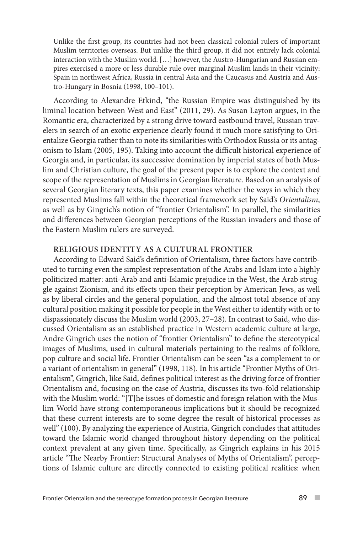Unlike the first group, its countries had not been classical colonial rulers of important Muslim territories overseas. But unlike the third group, it did not entirely lack colonial interaction with the Muslim world. […] however, the Austro-Hungarian and Russian empires exercised a more or less durable rule over marginal Muslim lands in their vicinity: Spain in northwest Africa, Russia in central Asia and the Caucasus and Austria and Austro-Hungary in Bosnia (1998, 100–101).

According to Alexandre Etkind, "the Russian Empire was distinguished by its liminal location between West and East" (2011, 29). As Susan Layton argues, in the Romantic era, characterized by a strong drive toward eastbound travel, Russian travelers in search of an exotic experience clearly found it much more satisfying to Orientalize Georgia rather than to note its similarities with Orthodox Russia or its antagonism to Islam (2005, 195). Taking into account the difficult historical experience of Georgia and, in particular, its successive domination by imperial states of both Muslim and Christian culture, the goal of the present paper is to explore the context and scope of the representation of Muslims in Georgian literature. Based on an analysis of several Georgian literary texts, this paper examines whether the ways in which they represented Muslims fall within the theoretical framework set by Said's *Orientalism*, as well as by Gingrich's notion of "frontier Orientalism". In parallel, the similarities and differences between Georgian perceptions of the Russian invaders and those of the Eastern Muslim rulers are surveyed.

#### **RELIGIOUS IDENTITY AS A CULTURAL FRONTIER**

According to Edward Said's definition of Orientalism, three factors have contributed to turning even the simplest representation of the Arabs and Islam into a highly politicized matter: anti-Arab and anti-Islamic prejudice in the West, the Arab struggle against Zionism, and its effects upon their perception by American Jews, as well as by liberal circles and the general population, and the almost total absence of any cultural position making it possible for people in the West either to identify with or to dispassionately discuss the Muslim world (2003, 27–28). In contrast to Said, who discussed Orientalism as an established practice in Western academic culture at large, Andre Gingrich uses the notion of "frontier Orientalism" to define the stereotypical images of Muslims, used in cultural materials pertaining to the realms of folklore, pop culture and social life. Frontier Orientalism can be seen "as a complement to or a variant of orientalism in general" (1998, 118). In his article "Frontier Myths of Orientalism", Gingrich, like Said, defines political interest as the driving force of frontier Orientalism and, focusing on the case of Austria, discusses its two-fold relationship with the Muslim world: "[T]he issues of domestic and foreign relation with the Muslim World have strong contemporaneous implications but it should be recognized that these current interests are to some degree the result of historical processes as well" (100). By analyzing the experience of Austria, Gingrich concludes that attitudes toward the Islamic world changed throughout history depending on the political context prevalent at any given time. Specifically, as Gingrich explains in his 2015 article "The Nearby Frontier: Structural Analyses of Myths of Orientalism", perceptions of Islamic culture are directly connected to existing political realities: when

**COL**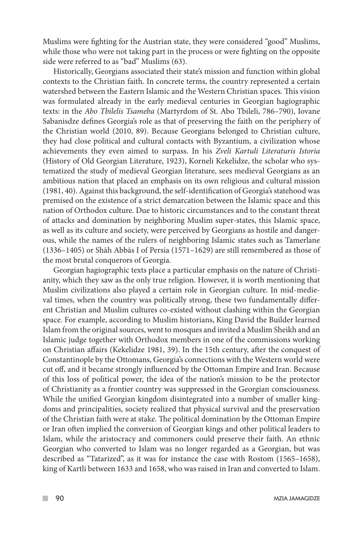Muslims were fighting for the Austrian state, they were considered "good" Muslims, while those who were not taking part in the process or were fighting on the opposite side were referred to as "bad" Muslims (63).

Historically, Georgians associated their state's mission and function within global contexts to the Christian faith. In concrete terms, the country represented a certain watershed between the Eastern Islamic and the Western Christian spaces. This vision was formulated already in the early medieval centuries in Georgian hagiographic texts: in the *Abo Tbilelis Tsameba* (Martyrdom of St. Abo Tbileli, 786–790), Iovane Sabanisdze defines Georgia's role as that of preserving the faith on the periphery of the Christian world (2010, 89). Because Georgians belonged to Christian culture, they had close political and cultural contacts with Byzantium, a civilization whose achievements they even aimed to surpass. In his *Zveli Kartuli Literaturis Istoria*  (History of Old Georgian Literature, 1923), Korneli Kekelidze, the scholar who systematized the study of medieval Georgian literature, sees medieval Georgians as an ambitious nation that placed an emphasis on its own religious and cultural mission (1981, 40). Against this background, the self-identification of Georgia's statehood was premised on the existence of a strict demarcation between the Islamic space and this nation of Orthodox culture. Due to historic circumstances and to the constant threat of attacks and domination by neighboring Muslim super-states, this Islamic space, as well as its culture and society, were perceived by Georgians as hostile and dangerous, while the names of the rulers of neighboring Islamic states such as Tamerlane (1336–1405) or Shāh Abbās I of Persia (1571–1629) are still remembered as those of the most brutal conquerors of Georgia.

Georgian hagiographic texts place a particular emphasis on the nature of Christianity, which they saw as the only true religion. However, it is worth mentioning that Muslim civilizations also played a certain role in Georgian culture. In mid-medieval times, when the country was politically strong, these two fundamentally different Christian and Muslim cultures co-existed without clashing within the Georgian space. For example, according to Muslim historians, King David the Builder learned Islam from the original sources, went to mosques and invited a Muslim Sheikh and an Islamic judge together with Orthodox members in one of the commissions working on Christian affairs (Kekelidze 1981, 39). In the 15th century, after the conquest of Constantinople by the Ottomans, Georgia's connections with the Western world were cut off, and it became strongly influenced by the Ottoman Empire and Iran. Because of this loss of political power, the idea of the nation's mission to be the protector of Christianity as a frontier country was suppressed in the Georgian consciousness. While the unified Georgian kingdom disintegrated into a number of smaller kingdoms and principalities, society realized that physical survival and the preservation of the Christian faith were at stake. The political domination by the Ottoman Empire or Iran often implied the conversion of Georgian kings and other political leaders to Islam, while the aristocracy and commoners could preserve their faith. An ethnic Georgian who converted to Islam was no longer regarded as a Georgian, but was described as "Tatarized", as it was for instance the case with Rostom (1565–1658), king of Kartli between 1633 and 1658, who was raised in Iran and converted to Islam.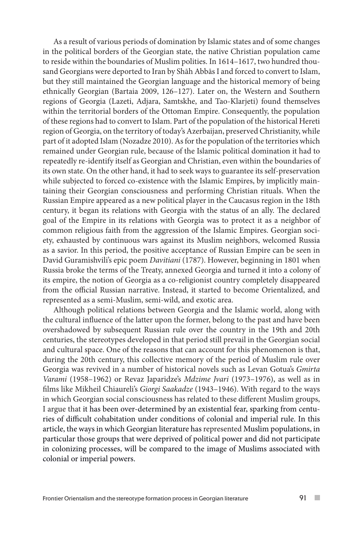As a result of various periods of domination by Islamic states and of some changes in the political borders of the Georgian state, the native Christian population came to reside within the boundaries of Muslim polities. In 1614–1617, two hundred thousand Georgians were deported to Iran by Shāh Abbās I and forced to convert to Islam, but they still maintained the Georgian language and the historical memory of being ethnically Georgian (Bartaia 2009, 126–127). Later on, the Western and Southern regions of Georgia (Lazeti, Adjara, Samtskhe, and Tao-Klarjeti) found themselves within the territorial borders of the Ottoman Empire. Consequently, the population of these regions had to convert to Islam. Part of the population of the historical Hereti region of Georgia, on the territory of today's Azerbaijan, preserved Christianity, while part of it adopted Islam (Nozadze 2010). As for the population of the territories which remained under Georgian rule, because of the Islamic political domination it had to repeatedly re-identify itself as Georgian and Christian, even within the boundaries of its own state. On the other hand, it had to seek ways to guarantee its self-preservation while subjected to forced co-existence with the Islamic Empires, by implicitly maintaining their Georgian consciousness and performing Christian rituals. When the Russian Empire appeared as a new political player in the Caucasus region in the 18th century, it began its relations with Georgia with the status of an ally. The declared goal of the Empire in its relations with Georgia was to protect it as a neighbor of common religious faith from the aggression of the Islamic Empires. Georgian society, exhausted by continuous wars against its Muslim neighbors, welcomed Russia as a savior. In this period, the positive acceptance of Russian Empire can be seen in David Guramishvili's epic poem *Davitiani* (1787). However, beginning in 1801 when Russia broke the terms of the Treaty, annexed Georgia and turned it into a colony of its empire, the notion of Georgia as a co-religionist country completely disappeared from the official Russian narrative. Instead, it started to become Orientalized, and represented as a semi-Muslim, semi-wild, and exotic area.

Although political relations between Georgia and the Islamic world, along with the cultural influence of the latter upon the former, belong to the past and have been overshadowed by subsequent Russian rule over the country in the 19th and 20th centuries, the stereotypes developed in that period still prevail in the Georgian social and cultural space. One of the reasons that can account for this phenomenon is that, during the 20th century, this collective memory of the period of Muslim rule over Georgia was revived in a number of historical novels such as Levan Gotua's *Gmirta Varami* (1958–1962) or Revaz Japaridze's *Mdzime Jvari* (1973–1976), as well as in films like Mikheil Chiaureli's *Giorgi Saakadze* (1943–1946). With regard to the ways in which Georgian social consciousness has related to these different Muslim groups, I argue that it has been over-determined by an existential fear, sparking from centuries of difficult cohabitation under conditions of colonial and imperial rule. In this article, the ways in which Georgian literature has represented Muslim populations, in particular those groups that were deprived of political power and did not participate in colonizing processes, will be compared to the image of Muslims associated with colonial or imperial powers.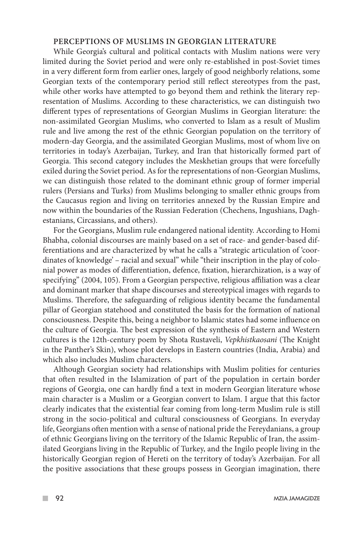#### **PERCEPTIONS OF MUSLIMS IN GEORGIAN LITERATURE**

While Georgia's cultural and political contacts with Muslim nations were very limited during the Soviet period and were only re-established in post-Soviet times in a very different form from earlier ones, largely of good neighborly relations, some Georgian texts of the contemporary period still reflect stereotypes from the past, while other works have attempted to go beyond them and rethink the literary representation of Muslims. According to these characteristics, we can distinguish two different types of representations of Georgian Muslims in Georgian literature: the non-assimilated Georgian Muslims, who converted to Islam as a result of Muslim rule and live among the rest of the ethnic Georgian population on the territory of modern-day Georgia, and the assimilated Georgian Muslims, most of whom live on territories in today's Azerbaijan, Turkey, and Iran that historically formed part of Georgia. This second category includes the Meskhetian groups that were forcefully exiled during the Soviet period. As for the representations of non-Georgian Muslims, we can distinguish those related to the dominant ethnic group of former imperial rulers (Persians and Turks) from Muslims belonging to smaller ethnic groups from the Caucasus region and living on territories annexed by the Russian Empire and now within the boundaries of the Russian Federation (Chechens, Ingushians, Daghestanians, Circassians, and others).

For the Georgians, Muslim rule endangered national identity. According to Homi Bhabha, colonial discourses are mainly based on a set of race- and gender-based differentiations and are characterized by what he calls a "strategic articulation of 'coordinates of knowledge' – racial and sexual" while "their inscription in the play of colonial power as modes of differentiation, defence, fixation, hierarchization, is a way of specifying" (2004, 105). From a Georgian perspective, religious affiliation was a clear and dominant marker that shape discourses and stereotypical images with regards to Muslims. Therefore, the safeguarding of religious identity became the fundamental pillar of Georgian statehood and constituted the basis for the formation of national consciousness. Despite this, being a neighbor to Islamic states had some influence on the culture of Georgia. The best expression of the synthesis of Eastern and Western cultures is the 12th-century poem by Shota Rustaveli, *Vepkhistkaosani* (The Knight in the Panther's Skin), whose plot develops in Eastern countries (India, Arabia) and which also includes Muslim characters.

Although Georgian society had relationships with Muslim polities for centuries that often resulted in the Islamization of part of the population in certain border regions of Georgia, one can hardly find a text in modern Georgian literature whose main character is a Muslim or a Georgian convert to Islam. I argue that this factor clearly indicates that the existential fear coming from long-term Muslim rule is still strong in the socio-political and cultural consciousness of Georgians. In everyday life, Georgians often mention with a sense of national pride the Fereydanians, a group of ethnic Georgians living on the territory of the Islamic Republic of Iran, the assimilated Georgians living in the Republic of Turkey, and the Ingilo people living in the historically Georgian region of Hereti on the territory of today's Azerbaijan. For all the positive associations that these groups possess in Georgian imagination, there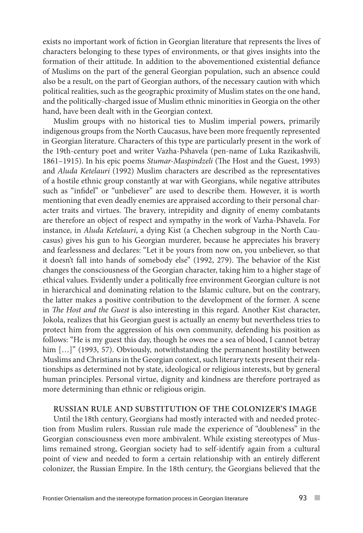exists no important work of fiction in Georgian literature that represents the lives of characters belonging to these types of environments, or that gives insights into the formation of their attitude. In addition to the abovementioned existential defiance of Muslims on the part of the general Georgian population, such an absence could also be a result, on the part of Georgian authors, of the necessary caution with which political realities, such as the geographic proximity of Muslim states on the one hand, and the politically-charged issue of Muslim ethnic minorities in Georgia on the other hand, have been dealt with in the Georgian context.

Muslim groups with no historical ties to Muslim imperial powers, primarily indigenous groups from the North Caucasus, have been more frequently represented in Georgian literature. Characters of this type are particularly present in the work of the 19th-century poet and writer Vazha-Pshavela (pen-name of Luka Razikashvili, 1861–1915). In his epic poems *Stumar-Maspindzeli* (The Host and the Guest, 1993) and *Aluda Ketelauri* (1992) Muslim characters are described as the representatives of a hostile ethnic group constantly at war with Georgians, while negative attributes such as "infidel" or "unbeliever" are used to describe them. However, it is worth mentioning that even deadly enemies are appraised according to their personal character traits and virtues. The bravery, intrepidity and dignity of enemy combatants are therefore an object of respect and sympathy in the work of Vazha-Pshavela. For instance, in *Aluda Ketelauri*, a dying Kist (a Chechen subgroup in the North Caucasus) gives his gun to his Georgian murderer, because he appreciates his bravery and fearlessness and declares: "Let it be yours from now on, you unbeliever, so that it doesn't fall into hands of somebody else" (1992, 279). The behavior of the Kist changes the consciousness of the Georgian character, taking him to a higher stage of ethical values. Evidently under a politically free environment Georgian culture is not in hierarchical and dominating relation to the Islamic culture, but on the contrary, the latter makes a positive contribution to the development of the former. A scene in *The Host and the Guest* is also interesting in this regard. Another Kist character, Jokola, realizes that his Georgian guest is actually an enemy but nevertheless tries to protect him from the aggression of his own community, defending his position as follows: "He is my guest this day, though he owes me a sea of blood, I cannot betray him [...]" (1993, 57). Obviously, notwithstanding the permanent hostility between Muslims and Christians in the Georgian context, such literary texts present their relationships as determined not by state, ideological or religious interests, but by general human principles. Personal virtue, dignity and kindness are therefore portrayed as more determining than ethnic or religious origin.

### **RUSSIAN RULE AND SUBSTITUTION OF THE COLONIZER'S IMAGE**

Until the 18th century, Georgians had mostly interacted with and needed protection from Muslim rulers. Russian rule made the experience of "doubleness" in the Georgian consciousness even more ambivalent. While existing stereotypes of Muslims remained strong, Georgian society had to self-identify again from a cultural point of view and needed to form a certain relationship with an entirely different colonizer, the Russian Empire. In the 18th century, the Georgians believed that the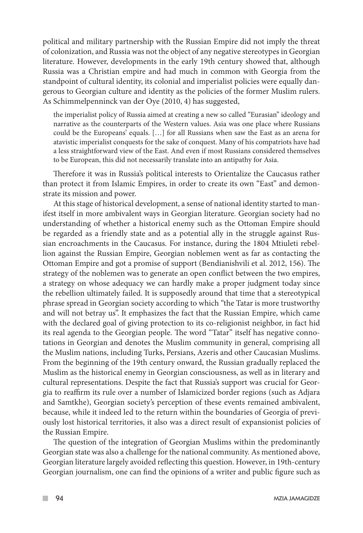political and military partnership with the Russian Empire did not imply the threat of colonization, and Russia was not the object of any negative stereotypes in Georgian literature. However, developments in the early 19th century showed that, although Russia was a Christian empire and had much in common with Georgia from the standpoint of cultural identity, its colonial and imperialist policies were equally dangerous to Georgian culture and identity as the policies of the former Muslim rulers. As Schimmelpenninck van der Oye (2010, 4) has suggested,

the imperialist policy of Russia aimed at creating a new so called "Eurasian" ideology and narrative as the counterparts of the Western values. Asia was one place where Russians could be the Europeans' equals. […] for all Russians when saw the East as an arena for atavistic imperialist conquests for the sake of conquest. Many of his compatriots have had a less straightforward view of the East. And even if most Russians considered themselves to be European, this did not necessarily translate into an antipathy for Asia.

Therefore it was in Russia's political interests to Orientalize the Caucasus rather than protect it from Islamic Empires, in order to create its own "East" and demonstrate its mission and power.

At this stage of historical development, a sense of national identity started to manifest itself in more ambivalent ways in Georgian literature. Georgian society had no understanding of whether a historical enemy such as the Ottoman Empire should be regarded as a friendly state and as a potential ally in the struggle against Russian encroachments in the Caucasus. For instance, during the 1804 Mtiuleti rebellion against the Russian Empire, Georgian noblemen went as far as contacting the Ottoman Empire and got a promise of support (Bendianishvili et al. 2012, 156). The strategy of the noblemen was to generate an open conflict between the two empires, a strategy on whose adequacy we can hardly make a proper judgment today since the rebellion ultimately failed. It is supposedly around that time that a stereotypical phrase spread in Georgian society according to which "the Tatar is more trustworthy and will not betray us". It emphasizes the fact that the Russian Empire, which came with the declared goal of giving protection to its co-religionist neighbor, in fact hid its real agenda to the Georgian people. The word "Tatar" itself has negative connotations in Georgian and denotes the Muslim community in general, comprising all the Muslim nations, including Turks, Persians, Azeris and other Caucasian Muslims. From the beginning of the 19th century onward, the Russian gradually replaced the Muslim as the historical enemy in Georgian consciousness, as well as in literary and cultural representations. Despite the fact that Russia's support was crucial for Georgia to reaffirm its rule over a number of Islamicized border regions (such as Adjara and Samtkhe), Georgian society's perception of these events remained ambivalent, because, while it indeed led to the return within the boundaries of Georgia of previously lost historical territories, it also was a direct result of expansionist policies of the Russian Empire.

The question of the integration of Georgian Muslims within the predominantly Georgian state was also a challenge for the national community. As mentioned above, Georgian literature largely avoided reflecting this question. However, in 19th-century Georgian journalism, one can find the opinions of a writer and public figure such as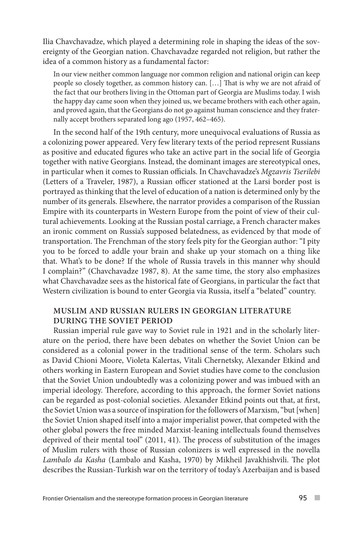Ilia Chavchavadze, which played a determining role in shaping the ideas of the sovereignty of the Georgian nation. Chavchavadze regarded not religion, but rather the idea of a common history as a fundamental factor:

In our view neither common language nor common religion and national origin can keep people so closely together, as common history can. […] That is why we are not afraid of the fact that our brothers living in the Ottoman part of Georgia are Muslims today. I wish the happy day came soon when they joined us, we became brothers with each other again, and proved again, that the Georgians do not go against human conscience and they fraternally accept brothers separated long ago (1957, 462–465).

In the second half of the 19th century, more unequivocal evaluations of Russia as a colonizing power appeared. Very few literary texts of the period represent Russians as positive and educated figures who take an active part in the social life of Georgia together with native Georgians. Instead, the dominant images are stereotypical ones, in particular when it comes to Russian officials. In Chavchavadze's *Mgzavris Tserilebi* (Letters of a Traveler, 1987), a Russian officer stationed at the Larsi border post is portrayed as thinking that the level of education of a nation is determined only by the number of its generals. Elsewhere, the narrator provides a comparison of the Russian Empire with its counterparts in Western Europe from the point of view of their cultural achievements. Looking at the Russian postal carriage, a French character makes an ironic comment on Russia's supposed belatedness, as evidenced by that mode of transportation. The Frenchman of the story feels pity for the Georgian author: "I pity you to be forced to addle your brain and shake up your stomach on a thing like that. What's to be done? If the whole of Russia travels in this manner why should I complain?" (Chavchavadze 1987, 8). At the same time, the story also emphasizes what Chavchavadze sees as the historical fate of Georgians, in particular the fact that Western civilization is bound to enter Georgia via Russia, itself a "belated" country.

## **MUSLIM AND RUSSIAN RULERS IN GEORGIAN LITERATURE DURING THE SOVIET PERIOD**

Russian imperial rule gave way to Soviet rule in 1921 and in the scholarly literature on the period, there have been debates on whether the Soviet Union can be considered as a colonial power in the traditional sense of the term. Scholars such as David Chioni Moore, Violeta Kalertas, Vitali Chernetsky, Alexander Etkind and others working in Eastern European and Soviet studies have come to the conclusion that the Soviet Union undoubtedly was a colonizing power and was imbued with an imperial ideology. Therefore, according to this approach, the former Soviet nations can be regarded as post-colonial societies. Alexander Etkind points out that, at first, the Soviet Union was a source of inspiration for the followers of Marxism, "but [when] the Soviet Union shaped itself into a major imperialist power, that competed with the other global powers the free minded Marxist-leaning intellectuals found themselves deprived of their mental tool" (2011, 41). The process of substitution of the images of Muslim rulers with those of Russian colonizers is well expressed in the novella *Lambalo da Kasha* (Lambalo and Kasha, 1970) by Mikheil Javakhishvili. The plot describes the Russian-Turkish war on the territory of today's Azerbaijan and is based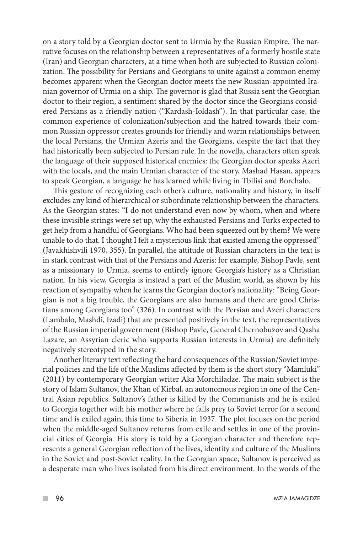on a story told by a Georgian doctor sent to Urmia by the Russian Empire. The narrative focuses on the relationship between a representatives of a formerly hostile state (Iran) and Georgian characters, at a time when both are subjected to Russian colonization. The possibility for Persians and Georgians to unite against a common enemy becomes apparent when the Georgian doctor meets the new Russian-appointed Iranian governor of Urmia on a ship. The governor is glad that Russia sent the Georgian doctor to their region, a sentiment shared by the doctor since the Georgians considered Persians as a friendly nation ("Kardash-Ioldash"). In that particular case, the common experience of colonization/subjection and the hatred towards their common Russian oppressor creates grounds for friendly and warm relationships between the local Persians, the Urmian Azeris and the Georgians, despite the fact that they had historically been subjected to Persian rule. In the novella, characters often speak the language of their supposed historical enemies: the Georgian doctor speaks Azeri with the locals, and the main Urmian character of the story, Mashad Hasan, appears to speak Georgian, a language he has learned while living in Tbilisi and Borchalo.

This gesture of recognizing each other's culture, nationality and history, in itself excludes any kind of hierarchical or subordinate relationship between the characters. As the Georgian states: "I do not understand even now by whom, when and where these invisible strings were set up, why the exhausted Persians and Turks expected to get help from a handful of Georgians. Who had been squeezed out by them? We were unable to do that. I thought I felt a mysterious link that existed among the oppressed" (Javakhishvili 1970, 355). In parallel, the attitude of Russian characters in the text is in stark contrast with that of the Persians and Azeris: for example, Bishop Pavle, sent as a missionary to Urmia, seems to entirely ignore Georgia's history as a Christian nation. In his view, Georgia is instead a part of the Muslim world, as shown by his reaction of sympathy when he learns the Georgian doctor's nationality: "Being Georgian is not a big trouble, the Georgians are also humans and there are good Christians among Georgians too" (326). In contrast with the Persian and Azeri characters (Lambalo, Mashdi, Izadi) that are presented positively in the text, the representatives of the Russian imperial government (Bishop Pavle, General Chernobuzov and Qasha Lazare, an Assyrian cleric who supports Russian interests in Urmia) are definitely negatively stereotyped in the story.

Another literary text reflecting the hard consequences of the Russian/Soviet imperial policies and the life of the Muslims affected by them is the short story "Mamluki" (2011) by contemporary Georgian writer Aka Morchiladze. The main subject is the story of Islam Sultanov, the Khan of Kirbal, an autonomous region in one of the Central Asian republics. Sultanov's father is killed by the Communists and he is exiled to Georgia together with his mother where he falls prey to Soviet terror for a second time and is exiled again, this time to Siberia in 1937. The plot focuses on the period when the middle-aged Sultanov returns from exile and settles in one of the provincial cities of Georgia. His story is told by a Georgian character and therefore represents a general Georgian reflection of the lives, identity and culture of the Muslims in the Soviet and post-Soviet reality. In the Georgian space, Sultanov is perceived as a desperate man who lives isolated from his direct environment. In the words of the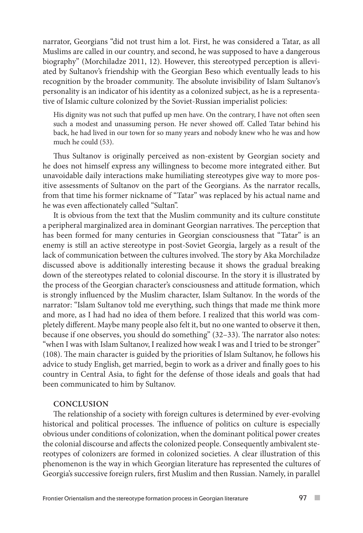narrator, Georgians "did not trust him a lot. First, he was considered a Tatar, as all Muslims are called in our country, and second, he was supposed to have a dangerous biography" (Morchiladze 2011, 12). However, this stereotyped perception is alleviated by Sultanov's friendship with the Georgian Beso which eventually leads to his recognition by the broader community. The absolute invisibility of Islam Sultanov's personality is an indicator of his identity as a colonized subject, as he is a representative of Islamic culture colonized by the Soviet-Russian imperialist policies:

His dignity was not such that puffed up men have. On the contrary, I have not often seen such a modest and unassuming person. He never showed off. Called Tatar behind his back, he had lived in our town for so many years and nobody knew who he was and how much he could (53).

Thus Sultanov is originally perceived as non-existent by Georgian society and he does not himself express any willingness to become more integrated either. But unavoidable daily interactions make humiliating stereotypes give way to more positive assessments of Sultanov on the part of the Georgians. As the narrator recalls, from that time his former nickname of "Tatar" was replaced by his actual name and he was even affectionately called "Sultan".

It is obvious from the text that the Muslim community and its culture constitute a peripheral marginalized area in dominant Georgian narratives. The perception that has been formed for many centuries in Georgian consciousness that "Tatar" is an enemy is still an active stereotype in post-Soviet Georgia, largely as a result of the lack of communication between the cultures involved. The story by Aka Morchiladze discussed above is additionally interesting because it shows the gradual breaking down of the stereotypes related to colonial discourse. In the story it is illustrated by the process of the Georgian character's consciousness and attitude formation, which is strongly influenced by the Muslim character, Islam Sultanov. In the words of the narrator: "Islam Sultanov told me everything, such things that made me think more and more, as I had had no idea of them before. I realized that this world was completely different. Maybe many people also felt it, but no one wanted to observe it then, because if one observes, you should do something" (32–33). The narrator also notes: "when I was with Islam Sultanov, I realized how weak I was and I tried to be stronger" (108). The main character is guided by the priorities of Islam Sultanov, he follows his advice to study English, get married, begin to work as a driver and finally goes to his country in Central Asia, to fight for the defense of those ideals and goals that had been communicated to him by Sultanov.

#### **CONCLUSION**

The relationship of a society with foreign cultures is determined by ever-evolving historical and political processes. The influence of politics on culture is especially obvious under conditions of colonization, when the dominant political power creates the colonial discourse and affects the colonized people. Consequently ambivalent stereotypes of colonizers are formed in colonized societies. A clear illustration of this phenomenon is the way in which Georgian literature has represented the cultures of Georgia's successive foreign rulers, first Muslim and then Russian. Namely, in parallel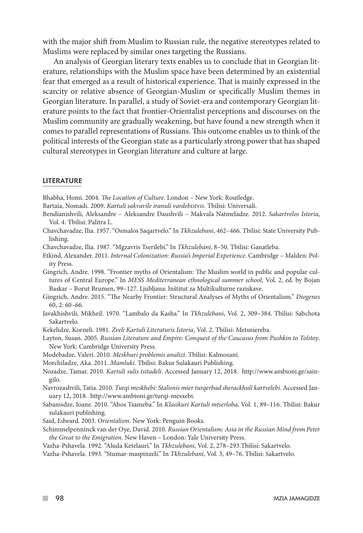with the major shift from Muslim to Russian rule, the negative stereotypes related to Muslims were replaced by similar ones targeting the Russians.

An analysis of Georgian literary texts enables us to conclude that in Georgian literature, relationships with the Muslim space have been determined by an existential fear that emerged as a result of historical experience. That is mainly expressed in the scarcity or relative absence of Georgian-Muslim or specifically Muslim themes in Georgian literature. In parallel, a study of Soviet-era and contemporary Georgian literature points to the fact that frontier-Orientalist perceptions and discourses on the Muslim community are gradually weakening, but have found a new strength when it comes to parallel representations of Russians. This outcome enables us to think of the political interests of the Georgian state as a particularly strong power that has shaped cultural stereotypes in Georgian literature and culture at large.

#### LITERATURE

Bhabha, Homi. 2004. *The Location of Culture*. London – New York: Routledge.

Bartaia, Nomadi. 2009. *Kartuli sakvavile iranuli vardebistvis*. Tbilisi: Universali.

- Bendianishvili, Aleksandre Aleksandre Daushvili Makvala Natmeladze. 2012. *Sakartvelos Istoria*, Vol. 4. Tbilisi: Palitra L.
- Chavchavadze, Ilia. 1957. "Osmalos Saqartvelo." In *Tkhzulebani*, 462–466. Tbilisi: State University Publishing.
- Chavchavadze, Ilia. 1987. "Mgzavris Tserilebi." In *Tkhzulebani*, 8–50. Tbilisi: Ganatleba.
- Etkind, Alexander. 2011. *Internal Colonization: Russia's Imperial Experience*. Cambridge Malden: Polity Press.
- Gingrich, Andre. 1998. "Frontier myths of Orientalism: The Muslim world in public and popular cultures of Central Europe." In *MESS Mediterranean ethnological summer school*, Vol. 2, ed. by Bojan Baskar – Borut Brumen, 99–127. Ljubljana: Inštitut za Multikulturne raziskave.
- Gingrich, Andre. 2015. "The Nearby Frontier: Structural Analyses of Myths of Orientalism." *Diogenes*  60, 2: 60–66.
- Javakhishvili, Mikheil. 1970. "Lambalo da Kasha." In *Tkhzulebani*, Vol. 2, 309–384. Tbilisi: Sabchota Sakartvelo.
- Kekelidze, Korneli. 1981. *Zveli Kartuli Literaturis Istoria*, Vol. 2. Tbilisi: Metsniereba.

Layton, Susan. 2005. *Russian Literature and Empire: Conquest of the Caucasus from Pushkin to Tolstoy*. New York: Cambridge University Press.

- Modebadze, Valeri. 2010. *Meskhuri problemis analizi*. Tbilisi: Kalmosani.
- Morchiladze, Aka. 2011. *Mamluki*. Tbilisi: Bakur Sulakauri Publishing.
- Nozadze, Tamar. 2010. *Kartuli sulis tsitadeli*. Accessed January 12, 2018. http://www.ambioni.ge/saingilo.

Navrozashvili, Tatia. 2010. *Turqi meskhebi: Stalisnis mier turqerbad sherackhuli kartvelebi*. Accessed January 12, 2018. http://www.ambioni.ge/turqi-mesxebi.

- Sabanisdze, Ioane. 2010. "Abos Tsameba." In *Klasikuri Kartuli mtserloba*, Vol. 1, 89–116. Tbilisi: Bakur sulakauri publishing.
- Said, Edward. 2003. *Orientalism*. New York: Penguin Books.
- Schimmelpenninck van der Oye, David. 2010. *Russian Orientalism: Asia in the Russian Mind from Peter the Great to the Emigration*. New Haven – London: Yale University Press.
- Vazha-Pshavela. 1992. "Aluda Ketelauri." In *Tkhzulebani*, Vol. 2, 278–293.Tbilisi: Sakartvelo.
- Vazha-Pshavela. 1993. "Stumar-maspinzeli." In *Tkhzulebani*, Vol. 3, 49–76. Tbilisi: Sakartvelo.